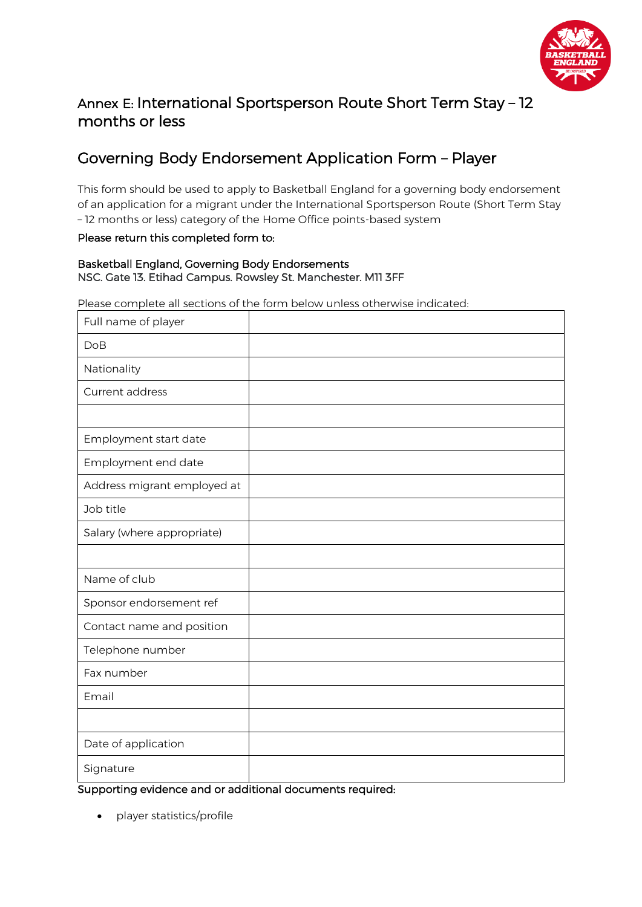

## Annex E: International Sportsperson Route Short Term Stay – 12 months or less

# Governing Body Endorsement Application Form – Player

This form should be used to apply to Basketball England for a governing body endorsement of an application for a migrant under the International Sportsperson Route (Short Term Stay – 12 months or less) category of the Home Office points-based system

#### Please return this completed form to:

#### Basketball England, Governing Body Endorsements NSC. Gate 13. Etihad Campus. Rowsley St. Manchester. M11 3FF

Please complete all sections of the form below unless otherwise indicated:

| Full name of player         |  |
|-----------------------------|--|
| DoB                         |  |
| Nationality                 |  |
| Current address             |  |
|                             |  |
| Employment start date       |  |
| Employment end date         |  |
| Address migrant employed at |  |
| Job title                   |  |
| Salary (where appropriate)  |  |
|                             |  |
| Name of club                |  |
| Sponsor endorsement ref     |  |
| Contact name and position   |  |
| Telephone number            |  |
| Fax number                  |  |
| Email                       |  |
|                             |  |
| Date of application         |  |
| Signature                   |  |

#### Supporting evidence and or additional documents required:

• player statistics/profile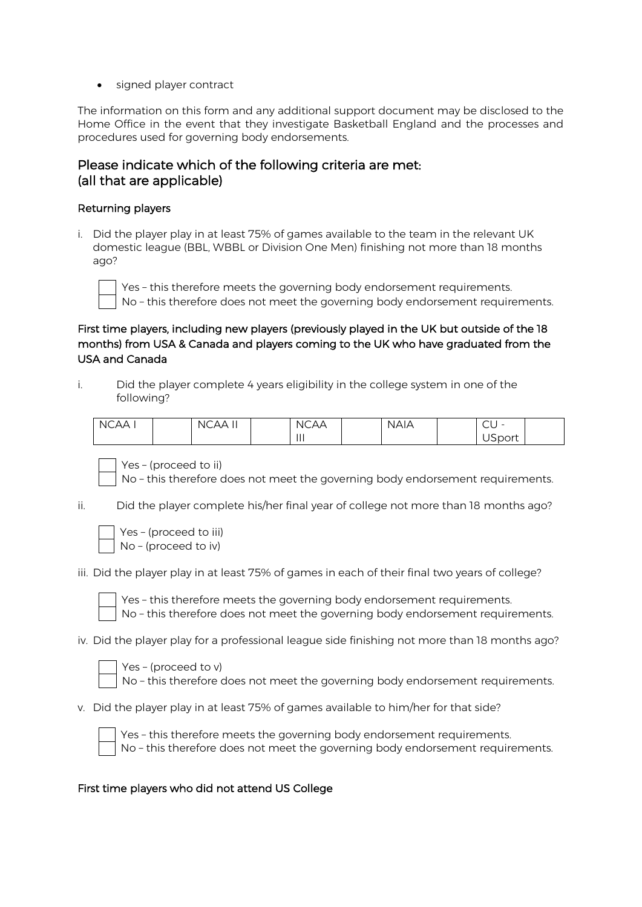• signed player contract

The information on this form and any additional support document may be disclosed to the Home Office in the event that they investigate Basketball England and the processes and procedures used for governing body endorsements.

## Please indicate which of the following criteria are met: (all that are applicable)

#### Returning players

i. Did the player play in at least 75% of games available to the team in the relevant UK domestic league (BBL, WBBL or Division One Men) finishing not more than 18 months ago?



Yes – this therefore meets the governing body endorsement requirements. No – this therefore does not meet the governing body endorsement requirements.

### First time players, including new players (previously played in the UK but outside of the 18 months) from USA & Canada and players coming to the UK who have graduated from the USA and Canada

i. Did the player complete 4 years eligibility in the college system in one of the following?

| <b>NCAA</b> | $\mathbf{H}$<br><b>NCAA</b> | <b>NCAA</b> | <b>NAIA</b> | $\sim$<br>-<br>◡◡ |  |
|-------------|-----------------------------|-------------|-------------|-------------------|--|
|             |                             | $\parallel$ |             | $\sim$<br>USport  |  |

Yes – (proceed to ii)

No – this therefore does not meet the governing body endorsement requirements.

ii. Did the player complete his/her final year of college not more than 18 months ago?

| Yes-(proceed to iii)   |
|------------------------|
| $No$ – (proceed to iv) |

iii. Did the player play in at least 75% of games in each of their final two years of college?



Yes – this therefore meets the governing body endorsement requirements. No – this therefore does not meet the governing body endorsement requirements.

iv. Did the player play for a professional league side finishing not more than 18 months ago?



No – this therefore does not meet the governing body endorsement requirements.

v. Did the player play in at least 75% of games available to him/her for that side?



Yes – this therefore meets the governing body endorsement requirements. No – this therefore does not meet the governing body endorsement requirements.

#### First time players who did not attend US College